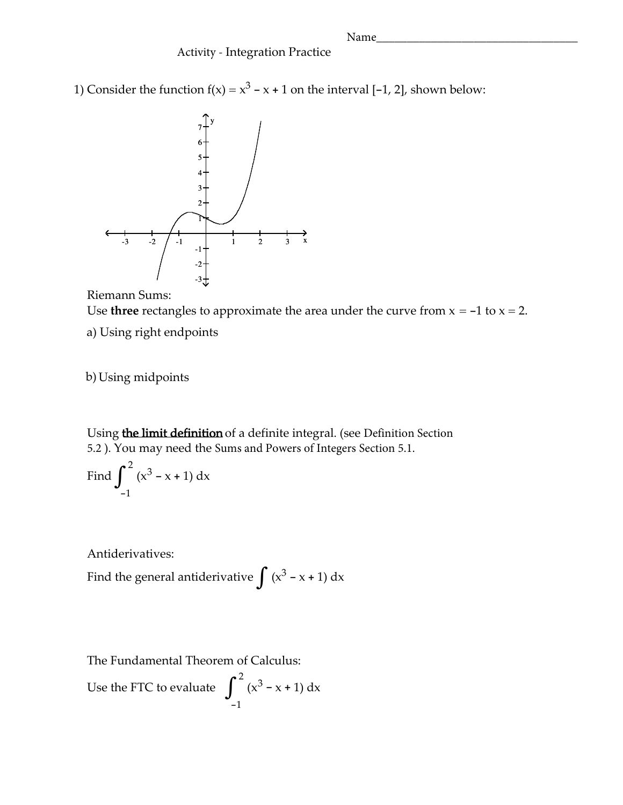Name

## Activity - Integration Practice

1) Consider the function  $f(x) = x^3 - x + 1$  on the interval  $[-1, 2]$ , shown below:





a) Using right endpoints

b)Using midpoints

Using the limit definition of a definite integral. (see Definition Section 5.2 ). You may need the Sums and Powers of Integers Section 5.1.

Find 
$$
\int_{-1}^{2} (x^3 - x + 1) dx
$$

Antiderivatives:

Find the general antiderivative  $\int (x^3 - x + 1) dx$ 

The Fundamental Theorem of Calculus:

Use the FTC to evaluate 2 -1  $\int^2 (x^3 - x + 1) dx$